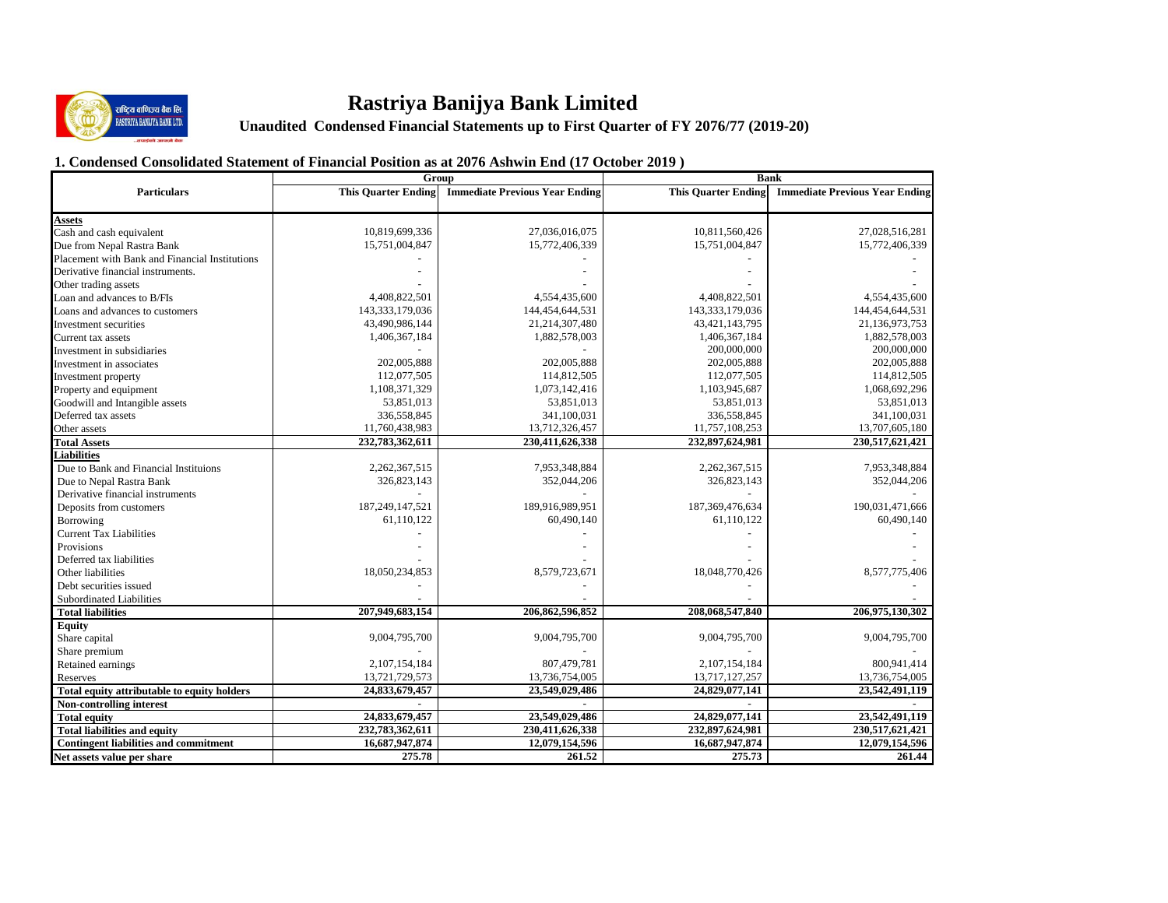

# **Rastriya Banijya Bank Limited**

**Examples de Resp.**<br>
Unaudited Condensed Financial Statements up to First Quarter of FY 2076/77 (2019-20)

# **1. Condensed Consolidated Statement of Financial Position as at 2076 Ashwin End (17 October 2019 )**

|                                                |                            | Group                                 | <b>Bank</b>                |                                       |  |  |
|------------------------------------------------|----------------------------|---------------------------------------|----------------------------|---------------------------------------|--|--|
| <b>Particulars</b>                             | <b>This Quarter Ending</b> | <b>Immediate Previous Year Ending</b> | <b>This Quarter Ending</b> | <b>Immediate Previous Year Ending</b> |  |  |
|                                                |                            |                                       |                            |                                       |  |  |
| <b>Assets</b>                                  |                            |                                       |                            |                                       |  |  |
| Cash and cash equivalent                       | 10,819,699,336             | 27,036,016,075                        | 10,811,560,426             | 27,028,516,281                        |  |  |
| Due from Nepal Rastra Bank                     | 15,751,004,847             | 15,772,406,339                        | 15,751,004,847             | 15,772,406,339                        |  |  |
| Placement with Bank and Financial Institutions |                            |                                       |                            |                                       |  |  |
| Derivative financial instruments.              |                            |                                       |                            |                                       |  |  |
| Other trading assets                           |                            |                                       |                            |                                       |  |  |
| Loan and advances to B/FIs                     | 4,408,822,501              | 4,554,435,600                         | 4,408,822,501              | 4,554,435,600                         |  |  |
| Loans and advances to customers                | 143,333,179,036            | 144,454,644,531                       | 143,333,179,036            | 144,454,644,531                       |  |  |
| Investment securities                          | 43,490,986,144             | 21,214,307,480                        | 43, 421, 143, 795          | 21,136,973,753                        |  |  |
| Current tax assets                             | 1,406,367,184              | 1,882,578,003                         | 1,406,367,184              | 1,882,578,003                         |  |  |
| Investment in subsidiaries                     |                            |                                       | 200,000,000                | 200,000,000                           |  |  |
| Investment in associates                       | 202,005,888                | 202,005,888                           | 202,005,888                | 202,005,888                           |  |  |
| Investment property                            | 112,077,505                | 114,812,505                           | 112,077,505                | 114,812,505                           |  |  |
| Property and equipment                         | 1,108,371,329              | 1,073,142,416                         | 1,103,945,687              | 1,068,692,296                         |  |  |
| Goodwill and Intangible assets                 | 53,851,013                 | 53,851,013                            | 53,851,013                 | 53,851,013                            |  |  |
| Deferred tax assets                            | 336,558,845                | 341,100,031                           | 336,558,845                | 341,100,031                           |  |  |
| Other assets                                   | 11,760,438,983             | 13,712,326,457                        | 11,757,108,253             | 13,707,605,180                        |  |  |
| <b>Total Assets</b>                            | 232,783,362,611            | 230,411,626,338                       | 232,897,624,981            | 230,517,621,421                       |  |  |
| <b>Liabilities</b>                             |                            |                                       |                            |                                       |  |  |
| Due to Bank and Financial Instituions          | 2,262,367,515              | 7,953,348,884                         | 2,262,367,515              | 7,953,348,884                         |  |  |
| Due to Nepal Rastra Bank                       | 326,823,143                | 352,044,206                           | 326,823,143                | 352,044,206                           |  |  |
| Derivative financial instruments               |                            |                                       |                            |                                       |  |  |
| Deposits from customers                        | 187,249,147,521            | 189,916,989,951                       | 187, 369, 476, 634         | 190,031,471,666                       |  |  |
| Borrowing                                      | 61,110,122                 | 60,490,140                            | 61,110,122                 | 60,490,140                            |  |  |
| <b>Current Tax Liabilities</b>                 |                            |                                       |                            |                                       |  |  |
| <b>Provisions</b>                              |                            |                                       |                            |                                       |  |  |
| Deferred tax liabilities                       |                            |                                       |                            |                                       |  |  |
| Other liabilities                              | 18,050,234,853             | 8,579,723,671                         | 18,048,770,426             | 8,577,775,406                         |  |  |
| Debt securities issued                         |                            |                                       |                            |                                       |  |  |
| Subordinated Liabilities                       |                            |                                       |                            |                                       |  |  |
| <b>Total liabilities</b>                       | 207,949,683,154            | 206,862,596,852                       | 208,068,547,840            | 206,975,130,302                       |  |  |
| <b>Equity</b>                                  |                            |                                       |                            |                                       |  |  |
| Share capital                                  | 9,004,795,700              | 9,004,795,700                         | 9,004,795,700              | 9,004,795,700                         |  |  |
| Share premium                                  |                            |                                       |                            |                                       |  |  |
| Retained earnings                              | 2,107,154,184              | 807,479,781                           | 2,107,154,184              | 800,941,414                           |  |  |
| Reserves                                       | 13,721,729,573             | 13,736,754,005                        | 13,717,127,257             | 13,736,754,005                        |  |  |
| Total equity attributable to equity holders    | 24,833,679,457             | 23,549,029,486                        | 24,829,077,141             | 23,542,491,119                        |  |  |
| Non-controlling interest                       |                            |                                       |                            |                                       |  |  |
| <b>Total equity</b>                            | 24,833,679,457             | 23,549,029,486                        | 24,829,077,141             | 23,542,491,119                        |  |  |
| <b>Total liabilities and equity</b>            | 232,783,362,611            | 230,411,626,338                       | 232,897,624,981            | 230,517,621,421                       |  |  |
| <b>Contingent liabilities and commitment</b>   | 16,687,947,874             | 12,079,154,596                        | 16,687,947,874             | 12,079,154,596                        |  |  |
| Net assets value per share                     | 275.78                     | 261.52                                | 275.73                     | 261.44                                |  |  |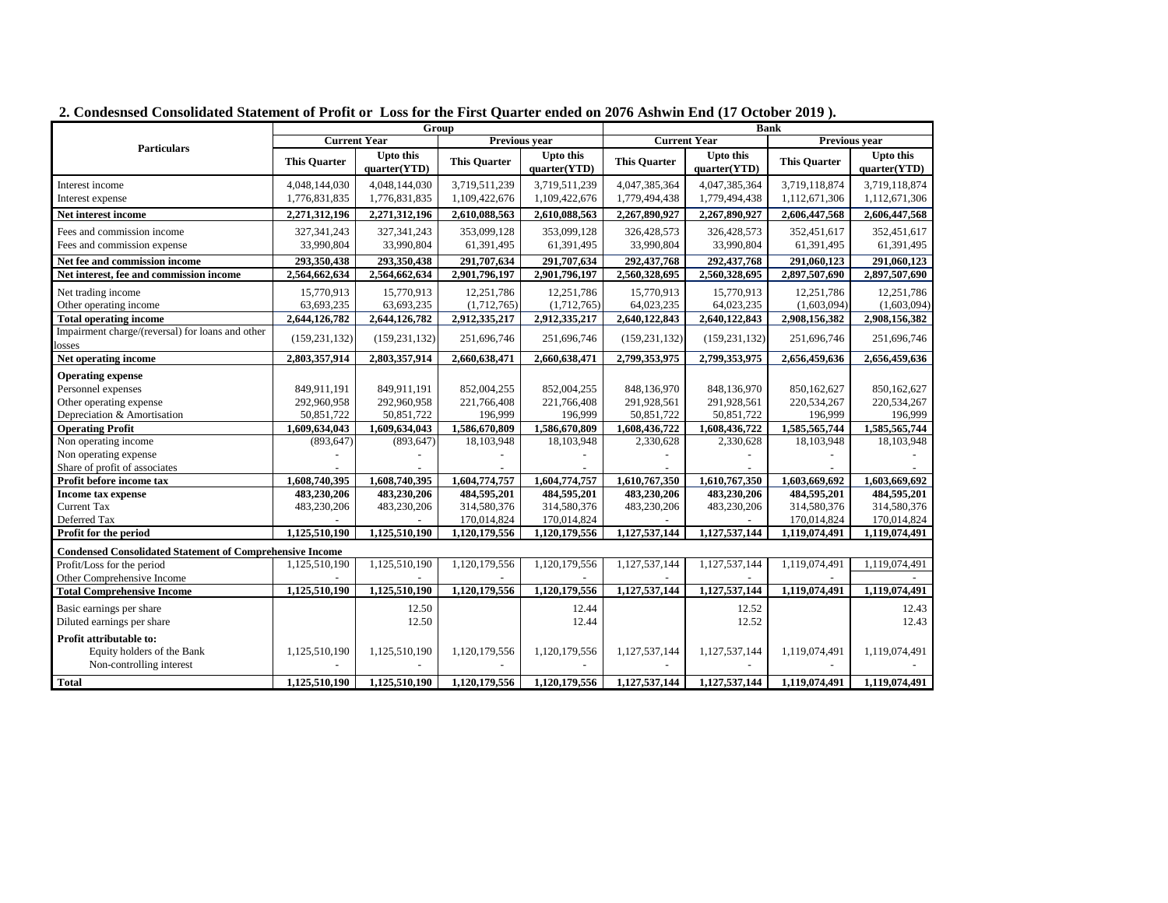|                                                                 | Group               |                                  |                            |                                  | <b>Bank</b>         |                                  |                              |                            |
|-----------------------------------------------------------------|---------------------|----------------------------------|----------------------------|----------------------------------|---------------------|----------------------------------|------------------------------|----------------------------|
| <b>Particulars</b>                                              | <b>Current Year</b> |                                  | Previous vear              |                                  | <b>Current Year</b> |                                  | <b>Previous vear</b>         |                            |
|                                                                 | <b>This Quarter</b> | <b>Upto this</b><br>quarter(YTD) | <b>This Quarter</b>        | <b>Upto this</b><br>quarter(YTD) | <b>This Quarter</b> | <b>Upto this</b><br>quarter(YTD) | <b>This Quarter</b>          | Upto this<br>quarter(YTD)  |
| Interest income                                                 | 4,048,144,030       | 4,048,144,030                    | 3,719,511,239              | 3,719,511,239                    | 4,047,385,364       | 4,047,385,364                    | 3,719,118,874                | 3,719,118,874              |
| Interest expense                                                | 1,776,831,835       | 1,776,831,835                    | 1,109,422,676              | 1,109,422,676                    | 1,779,494,438       | 1,779,494,438                    | 1,112,671,306                | 1,112,671,306              |
| Net interest income                                             | 2,271,312,196       | 2,271,312,196                    | 2,610,088,563              | 2,610,088,563                    | 2,267,890,927       | 2,267,890,927                    | 2,606,447,568                | 2,606,447,568              |
| Fees and commission income                                      | 327, 341, 243       | 327, 341, 243                    | 353,099,128                | 353,099,128                      | 326,428,573         | 326,428,573                      | 352,451,617                  | 352,451,617                |
| Fees and commission expense                                     | 33,990,804          | 33,990,804                       | 61,391,495                 | 61,391,495                       | 33,990,804          | 33,990,804                       | 61,391,495                   | 61,391,495                 |
| Net fee and commission income                                   | 293,350,438         | 293,350,438                      | 291,707,634                | 291,707,634                      | 292,437,768         | 292,437,768                      | 291,060,123                  | 291,060,123                |
| Net interest, fee and commission income                         | 2,564,662,634       | 2,564,662,634                    | 2,901,796,197              | 2,901,796,197                    | 2,560,328,695       | 2,560,328,695                    | 2,897,507,690                | 2,897,507,690              |
| Net trading income                                              | 15,770,913          | 15,770,913                       | 12,251,786                 | 12,251,786                       | 15,770,913          | 15,770,913                       | 12,251,786                   | 12,251,786                 |
| Other operating income                                          | 63,693,235          | 63,693,235                       | (1,712,765)                | (1,712,765)                      | 64,023,235          | 64,023,235                       | (1,603,094)                  | (1,603,094)                |
| <b>Total operating income</b>                                   | 2,644,126,782       | 2,644,126,782                    | 2,912,335,217              | 2,912,335,217                    | 2,640,122,843       | 2,640,122,843                    | 2,908,156,382                | 2,908,156,382              |
| Impairment charge/(reversal) for loans and other<br>losses      | (159, 231, 132)     | (159, 231, 132)                  | 251,696,746                | 251,696,746                      | (159, 231, 132)     | (159, 231, 132)                  | 251,696,746                  | 251,696,746                |
| Net operating income                                            | 2,803,357,914       | 2,803,357,914                    | 2,660,638,471              | 2,660,638,471                    | 2,799,353,975       | 2,799,353,975                    | 2,656,459,636                | 2,656,459,636              |
| <b>Operating expense</b>                                        |                     |                                  |                            |                                  |                     |                                  |                              |                            |
| Personnel expenses                                              | 849,911,191         | 849,911,191                      | 852,004,255                | 852,004,255                      | 848,136,970         | 848,136,970                      | 850,162,627                  | 850,162,627                |
| Other operating expense                                         | 292,960,958         | 292,960,958                      | 221,766,408                | 221,766,408                      | 291,928,561         | 291,928,561                      | 220,534,267                  | 220,534,267                |
| Depreciation & Amortisation                                     | 50,851,722          | 50,851,722                       | 196,999                    | 196,999                          | 50,851,722          | 50,851,722                       | 196,999                      | 196,999                    |
| <b>Operating Profit</b>                                         | 1,609,634,043       | 1,609,634,043                    | 1,586,670,809              | 1,586,670,809                    | 1,608,436,722       | 1,608,436,722                    | 1,585,565,744                | 1,585,565,744              |
| Non operating income                                            | (893, 647)          | (893, 647)                       | 18,103,948                 | 18,103,948                       | 2,330,628           | 2,330,628                        | 18,103,948                   | 18,103,948                 |
| Non operating expense                                           |                     |                                  |                            |                                  |                     |                                  |                              |                            |
| Share of profit of associates                                   |                     |                                  |                            |                                  |                     |                                  |                              |                            |
| Profit before income tax                                        | 1,608,740,395       | 1,608,740,395                    | 1,604,774,757              | 1,604,774,757                    | 1,610,767,350       | 1,610,767,350                    | 1.603.669.692                | 1.603.669.692              |
| Income tax expense<br><b>Current Tax</b>                        | 483,230,206         | 483,230,206                      | 484,595,201                | 484,595,201                      | 483,230,206         | 483,230,206                      | 484,595,201                  | 484,595,201                |
| Deferred Tax                                                    | 483,230,206         | 483,230,206                      | 314,580,376<br>170,014,824 | 314,580,376<br>170,014,824       | 483,230,206         | 483,230,206                      | 314,580,376                  | 314,580,376<br>170,014,824 |
| Profit for the period                                           | 1,125,510,190       | 1,125,510,190                    | 1,120,179,556              | 1,120,179,556                    | 1,127,537,144       | 1,127,537,144                    | 170,014,824<br>1,119,074,491 | 1,119,074,491              |
|                                                                 |                     |                                  |                            |                                  |                     |                                  |                              |                            |
| <b>Condensed Consolidated Statement of Comprehensive Income</b> |                     |                                  |                            |                                  |                     |                                  |                              |                            |
| Profit/Loss for the period                                      | 1,125,510,190       | 1,125,510,190                    | 1,120,179,556              | 1,120,179,556                    | 1,127,537,144       | 1,127,537,144                    | 1,119,074,491                | 1,119,074,491              |
| Other Comprehensive Income                                      |                     |                                  |                            |                                  |                     |                                  |                              |                            |
| <b>Total Comprehensive Income</b>                               | 1,125,510,190       | 1,125,510,190                    | 1,120,179,556              | 1,120,179,556                    | 1,127,537,144       | 1,127,537,144                    | 1,119,074,491                | 1,119,074,491              |
| Basic earnings per share<br>Diluted earnings per share          |                     | 12.50<br>12.50                   |                            | 12.44<br>12.44                   |                     | 12.52<br>12.52                   |                              | 12.43<br>12.43             |
| Profit attributable to:                                         |                     |                                  |                            |                                  |                     |                                  |                              |                            |
| Equity holders of the Bank<br>Non-controlling interest          | 1,125,510,190       | 1,125,510,190                    | 1,120,179,556              | 1,120,179,556                    | 1,127,537,144       | 1,127,537,144                    | 1,119,074,491                | 1,119,074,491              |
| <b>Total</b>                                                    | 1.125.510.190       | 1.125.510.190                    | 1.120.179.556              | 1.120.179.556                    | 1.127.537.144       | 1.127.537.144                    | 1.119.074.491                | 1.119.074.491              |

**2. Condesnsed Consolidated Statement of Profit or Loss for the First Quarter ended on 2076 Ashwin End (17 October 2019 ).**